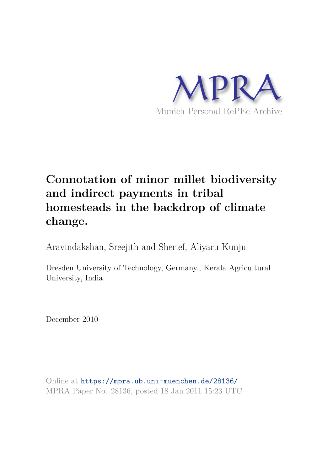

# **Connotation of minor millet biodiversity and indirect payments in tribal homesteads in the backdrop of climate change.**

Aravindakshan, Sreejith and Sherief, Aliyaru Kunju

Dresden University of Technology, Germany., Kerala Agricultural University, India.

December 2010

Online at https://mpra.ub.uni-muenchen.de/28136/ MPRA Paper No. 28136, posted 18 Jan 2011 15:23 UTC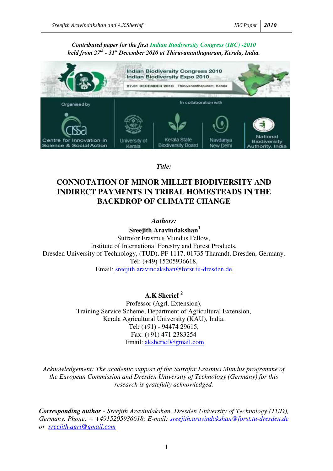### *Contributed paper for the first Indian Biodiversity Congress (IBC) -2010 held from 27th - 31st December 2010 at Thiruvananthapuram, Kerala, India.*



*Title:* 

# **CONNOTATION OF MINOR MILLET BIODIVERSITY AND INDIRECT PAYMENTS IN TRIBAL HOMESTEADS IN THE BACKDROP OF CLIMATE CHANGE**

*Authors:* 

 **Sreejith Aravindakshan<sup>1</sup>**

Sutrofor Erasmus Mundus Fellow, Institute of International Forestry and Forest Products, Dresden University of Technology, (TUD), PF 1117, 01735 Tharandt, Dresden, Germany. Tel: (+49) 15205936618, Email: [sreejith.aravindakshan@forst.tu-dresden.de](mailto:sreejith.aravindakshan@forst.tu-dresden.de)

**A.K Sherief <sup>2</sup>**

Professor (Agrl. Extension), Training Service Scheme, Department of Agricultural Extension, Kerala Agricultural University (KAU), India. Tel: (+91) - 94474 29615, Fax: (+91) 471 2383254 Email: [aksherief@gmail.com](mailto:aksherief@gmail.com)

*Acknowledgement: The academic support of the Sutrofor Erasmus Mundus programme of the European Commission and Dresden University of Technology (Germany) for this research is gratefully acknowledged.* 

*Corresponding author - Sreejith Aravindakshan, Dresden University of Technology (TUD), Germany. Phone: + +4915205936618; E-mail: [sreejith.aravindakshan@forst.tu-dresden.de](mailto:sreejith.aravindakshan@forst.tu-dresden.de) or [sreejith.agri@gmail.com](mailto:sreejith.agri@gmail.com)*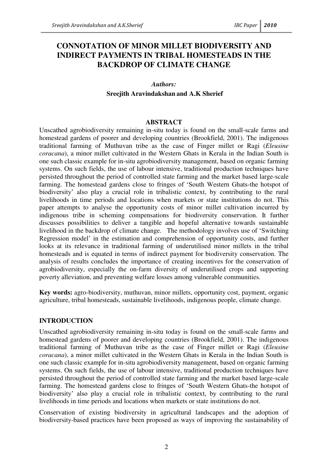# **CONNOTATION OF MINOR MILLET BIODIVERSITY AND INDIRECT PAYMENTS IN TRIBAL HOMESTEADS IN THE BACKDROP OF CLIMATE CHANGE**

### *Authors:*

### **Sreejith Aravindakshan and A.K Sherief**

#### **ABSTRACT**

Unscathed agrobiodiversity remaining in-situ today is found on the small-scale farms and homestead gardens of poorer and developing countries (Brookfield, 2001). The indigenous traditional farming of Muthuvan tribe as the case of Finger millet or Ragi (*Eleusine coracana*), a minor millet cultivated in the Western Ghats in Kerala in the Indian South is one such classic example for in-situ agrobiodiversity management, based on organic farming systems. On such fields, the use of labour intensive, traditional production techniques have persisted throughout the period of controlled state farming and the market based large-scale farming. The homestead gardens close to fringes of 'South Western Ghats-the hotspot of biodiversity' also play a crucial role in tribalistic context, by contributing to the rural livelihoods in time periods and locations when markets or state institutions do not. This paper attempts to analyse the opportunity costs of minor millet cultivation incurred by indigenous tribe in scheming compensations for biodiversity conservation. It further discusses possibilities to deliver a tangible and hopeful alternative towards sustainable livelihood in the backdrop of climate change. The methodology involves use of 'Switching Regression model' in the estimation and comprehension of opportunity costs, and further looks at its relevance in traditional farming of underutilised minor millets in the tribal homesteads and is equated in terms of indirect payment for biodiversity conservation. The analysis of results concludes the importance of creating incentives for the conservation of agrobiodiversity, especially the on-farm diversity of underutilised crops and supporting poverty alleviation, and preventing welfare losses among vulnerable communities.

**Key words:** agro-biodiversity, muthuvan, minor millets, opportunity cost, payment, organic agriculture, tribal homesteads, sustainable livelihoods, indigenous people, climate change.

### **INTRODUCTION**

Unscathed agrobiodiversity remaining in-situ today is found on the small-scale farms and homestead gardens of poorer and developing countries (Brookfield, 2001). The indigenous traditional farming of Muthuvan tribe as the case of Finger millet or Ragi (*Eleusine coracana*), a minor millet cultivated in the Western Ghats in Kerala in the Indian South is one such classic example for in-situ agrobiodiversity management, based on organic farming systems. On such fields, the use of labour intensive, traditional production techniques have persisted throughout the period of controlled state farming and the market based large-scale farming. The homestead gardens close to fringes of 'South Western Ghats-the hotspot of biodiversity' also play a crucial role in tribalistic context, by contributing to the rural livelihoods in time periods and locations when markets or state institutions do not.

Conservation of existing biodiversity in agricultural landscapes and the adoption of biodiversity-based practices have been proposed as ways of improving the sustainability of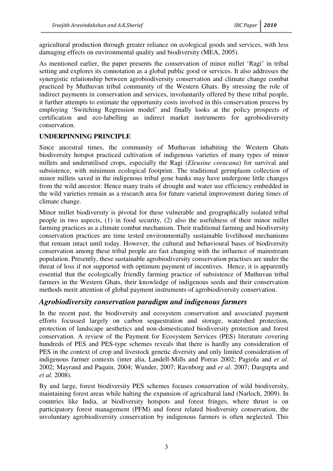agricultural production through greater reliance on ecological goods and services, with less damaging effects on environmental quality and biodiversity (MEA, 2005).

As mentioned earlier, the paper presents the conservation of minor millet 'Ragi' in tribal setting and explores its connotation as a global public good or services. It also addresses the synergistic relationship between agrobiodiversity conservation and climate change combat practiced by Muthuvan tribal community of the Western Ghats. By stressing the role of indirect payments in conservation and services, involuntarily offered by these tribal people, it further attempts to estimate the opportunity costs involved in this conservation process by employing 'Switching Regression model' and finally looks at the policy prospects of certification and eco-labelling as indirect market instruments for agrobiodiversity conservation.

### **UNDERPINNING PRINCIPLE**

Since ancestral times, the community of Muthuvan inhabiting the Western Ghats biodiversity hotspot practiced cultivation of indigenous varieties of many types of minor millets and underutilised crops, especially the Ragi (*Eleusine coracana*) for survival and subsistence, with minimum ecological footprint. The traditional germplasm collection of minor millets saved in the indigenous tribal gene banks may have undergone little changes from the wild ancestor. Hence many traits of drought and water use efficiency embedded in the wild varieties remain as a research area for future varietal improvement during times of climate change.

Minor millet biodiversity is pivotal for these vulnerable and geographically isolated tribal people in two aspects, (1) in food security, (2) also the usefulness of their minor millet farming practices as a climate combat mechanism. Their traditional farming and biodiversity conservation practices are time tested environmentally sustainable livelihood mechanisms that remain intact until today. However, the cultural and behavioural bases of biodiversity conservation among these tribal people are fast changing with the influence of mainstream population. Presently, these sustainable agrobiodiversity conservation practises are under the threat of loss if not supported with optimum payment of incentives. Hence, it is apparently essential that the ecologically friendly farming practice of subsistence of Muthuvan tribal farmers in the Western Ghats, their knowledge of indigenous seeds and their conservation methods merit attention of global payment instruments of agrobiodiversity conservation.

### *Agrobiodiversity conservation paradigm and indigenous farmers*

In the recent past, the biodiversity and ecosystem conservation and associated payment efforts focussed largely on carbon sequestration and storage, watershed protection, protection of landscape aesthetics and non-domesticated biodiversity protection and forest conservation. A review of the Payment for Ecosystem Services (PES) literature covering hundreds of PES and PES-type schemes reveals that there is hardly any consideration of PES in the context of crop and livestock genetic diversity and only limited consideration of indigenous farmer contexts (inter alia, Landell-Mills and Porras 2002; Pagiola and *et al*. 2002; Mayrand and Paquin, 2004; Wunder, 2007; Ravnborg and *et al*. 2007; Dasgupta and *et al.* 2008).

By and large, forest biodiversity PES schemes focuses conservation of wild biodiversity, maintaining forest areas while halting the expansion of agricultural land (Narloch, 2009). In countries like India, at biodiversity hotspots and forest fringes, where thrust is on participatory forest management (PFM) and forest related biodiversity conservation, the involuntary agrobiodiversity conservation by indigenous farmers is often neglected. This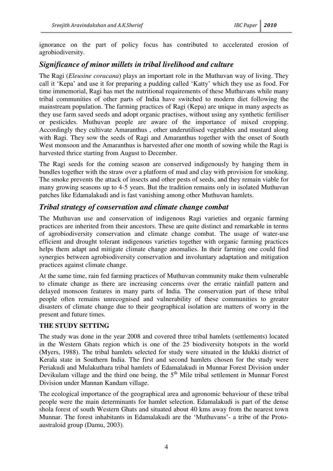ignorance on the part of policy focus has contributed to accelerated erosion of agrobiodiversity.

## *Significance of minor millets in tribal livelihood and culture*

The Ragi (*Eleusine coracana*) plays an important role in the Muthuvan way of living. They call it 'Kepa' and use it for preparing a pudding called 'Katty' which they use as food. For time immemorial, Ragi has met the nutritional requirements of these Muthuvans while many tribal communities of other parts of India have switched to modern diet following the mainstream population. The farming practices of Ragi (Kepa) are unique in many aspects as they use farm saved seeds and adopt organic practises, without using any synthetic fertiliser or pesticides. Muthuvan people are aware of the importance of mixed cropping. Accordingly they cultivate Amaranthus , other underutilised vegetables and mustard along with Ragi. They sow the seeds of Ragi and Amaranthus together with the onset of South West monsoon and the Amaranthus is harvested after one month of sowing while the Ragi is harvested thrice starting from August to December.

The Ragi seeds for the coming season are conserved indigenously by hanging them in bundles together with the straw over a platform of mud and clay with provision for smoking. The smoke prevents the attack of insects and other pests of seeds, and they remain viable for many growing seasons up to 4-5 years. But the tradition remains only in isolated Muthuvan patches like Edamalakudi and is fast vanishing among other Muthuvan hamlets.

### *Tribal strategy of conservation and climate change combat*

The Muthuvan use and conservation of indigenous Ragi varieties and organic farming practices are inherited from their ancestors. These are quite distinct and remarkable in terms of agrobiodiversity conservation and climate change combat. The usage of water-use efficient and drought tolerant indigenous varieties together with organic farming practices helps them adapt and mitigate climate change anomalies. In their farming one could find synergies between agrobiodiversity conservation and involuntary adaptation and mitigation practices against climate change.

At the same time, rain fed farming practices of Muthuvan community make them vulnerable to climate change as there are increasing concerns over the erratic rainfall pattern and delayed monsoon features in many parts of India. The conservation part of these tribal people often remains unrecognised and vulnerability of these communities to greater disasters of climate change due to their geographical isolation are matters of worry in the present and future times.

### **THE STUDY SETTING**

The study was done in the year 2008 and covered three tribal hamlets (settlements) located in the Western Ghats region which is one of the 25 biodiversity hotspots in the world (Myers, 1988). The tribal hamlets selected for study were situated in the Idukki district of Kerala state in Southern India. The first and second hamlets chosen for the study were Periakudi and Mulakuthara tribal hamlets of Edamalakudi in Munnar Forest Division under Devikulam village and the third one being, the  $5<sup>th</sup>$  Mile tribal settlement in Munnar Forest Division under Mannan Kandam village.

The ecological importance of the geographical area and agronomic behaviour of these tribal people were the main determinants for hamlet selection. Edamalakudi is part of the dense shola forest of south Western Ghats and situated about 40 kms away from the nearest town Munnar. The forest inhabitants in Edamalakudi are the 'Muthuvans'- a tribe of the Protoaustraloid group (Damu, 2003).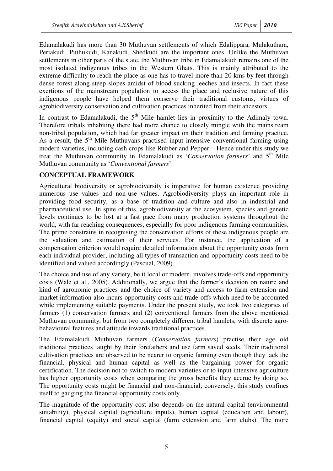Edamalakudi has more than 30 Muthuvan settlements of which Edalippara, Mulakuthara, Periakudi, Puthukudi, Kanakudi, Shedkudi are the important ones. Unlike the Muthuvan settlements in other parts of the state, the Muthuvan tribe in Edamalakudi remains one of the most isolated indigenous tribes in the Western Ghats. This is mainly attributed to the extreme difficulty to reach the place as one has to travel more than 20 kms by feet through dense forest along steep slopes amidst of blood sucking leeches and insects. In fact these exertions of the mainstream population to access the place and reclusive nature of this indigenous people have helped them conserve their traditional customs, virtues of agrobiodiversity conservation and cultivation practices inherited from their ancestors.

In contrast to Edamalakudi, the  $5<sup>th</sup>$  Mile hamlet lies in proximity to the Adimaly town. Therefore tribals inhabiting there had more chance to closely mingle with the mainstream non-tribal population, which had far greater impact on their tradition and farming practice. As a result, the  $5<sup>th</sup>$  Mile Muthuvans practised input intensive conventional farming using modern varieties, including cash crops like Rubber and Pepper. Hence under this study we treat the Muthuvan community in Edamalakudi as '*Conservation farmers*' and 5th Mile Muthuvan community as '*Conventional farmers*'.

### **CONCEPTUAL FRAMEWORK**

Agricultural biodiversity or agrobiodiversity is imperative for human existence providing numerous use values and non-use values. Agrobiodiversity plays an important role in providing food security, as a base of tradition and culture and also in industrial and pharmaceutical use. In spite of this, agrobiodiversity at the ecosystem, species and genetic levels continues to be lost at a fast pace from many production systems throughout the world, with far reaching consequences, especially for poor indigenous farming communities. The prime constrains in recognising the conservation efforts of these indigenous people are the valuation and estimation of their services. For instance, the application of a compensation criterion would require detailed information about the opportunity costs from each individual provider, including all types of transaction and opportunity costs need to be identified and valued accordingly (Pascual, 2009).

The choice and use of any variety, be it local or modern, involves trade-offs and opportunity costs (Wale et al., 2005). Additionally, we argue that the farmer's decision on nature and kind of agronomic practices and the choice of variety and access to farm extension and market information also incurs opportunity costs and trade-offs which need to be accounted while implementing suitable payments. Under the present study, we took two categories of farmers (1) conservation farmers and (2) conventional farmers from the above mentioned Muthuvan community, but from two completely different tribal hamlets, with discrete agrobehavioural features and attitude towards traditional practices.

The Edamalakudi Muthuvan farmers (*Conservation farmers*) practise their age old traditional practices taught by their forefathers and use farm saved seeds. Their traditional cultivation practices are observed to be nearer to organic farming even though they lack the financial, physical and human capital as well as the bargaining power for organic certification. The decision not to switch to modern varieties or to input intensive agriculture has higher opportunity costs when comparing the gross benefits they accrue by doing so. The opportunity costs might be financial and non-financial; conversely, this study confines itself to gauging the financial opportunity costs only.

The magnitude of the opportunity cost also depends on the natural capital (environmental suitability), physical capital (agriculture inputs), human capital (education and labour), financial capital (equity) and social capital (farm extension and farm clubs). The more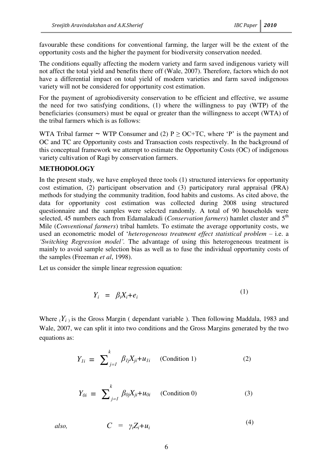favourable these conditions for conventional farming, the larger will be the extent of the opportunity costs and the higher the payment for biodiversity conservation needed.

The conditions equally affecting the modern variety and farm saved indigenous variety will not affect the total yield and benefits there off (Wale, 2007). Therefore, factors which do not have a differential impact on total yield of modern varieties and farm saved indigenous variety will not be considered for opportunity cost estimation.

For the payment of agrobiodiversity conservation to be efficient and effective, we assume the need for two satisfying conditions, (1) where the willingness to pay (WTP) of the beneficiaries (consumers) must be equal or greater than the willingness to accept (WTA) of the tribal farmers which is as follows:

WTA Tribal farmer ~ WTP Consumer and (2)  $P \geq OCHC$ , where 'P' is the payment and OC and TC are Opportunity costs and Transaction costs respectively. In the background of this conceptual framework we attempt to estimate the Opportunity Costs (OC) of indigenous variety cultivation of Ragi by conservation farmers.

### **METHODOLOGY**

In the present study, we have employed three tools (1) structured interviews for opportunity cost estimation, (2) participant observation and (3) participatory rural appraisal (PRA) methods for studying the community tradition, food habits and customs. As cited above, the data for opportunity cost estimation was collected during 2008 using structured questionnaire and the samples were selected randomly. A total of 90 households were selected, 45 numbers each from Edamalakudi (*Conservation farmers*) hamlet cluster and 5<sup>th</sup> Mile (*Conventional farmers*) tribal hamlets. To estimate the average opportunity costs, we used an econometric model of '*heterogeneous treatment effect statistical problem* – i.e. a *"Switching Regression model".* The advantage of using this heterogeneous treatment is mainly to avoid sample selection bias as well as to fuse the individual opportunity costs of the samples (Freeman *et al*, 1998).

Let us consider the simple linear regression equation:

$$
Y_i = \beta_i X_i + e_i \tag{1}
$$

Where  $(Y_i)$  is the Gross Margin ( dependant variable ). Then following Maddala, 1983 and Wale, 2007, we can split it into two conditions and the Gross Margins generated by the two equations as:

$$
Y_{Ii} = \sum_{j=1}^{k} \beta_{Ij} X_{ji} + u_{Ii} \quad \text{(Condition 1)} \tag{2}
$$

$$
Y_{0i} = \sum_{j=1}^{k} \beta_{0j} X_{ji} + u_{0i} \qquad \text{(Condition 0)} \tag{3}
$$

*also,*  $C = \gamma_i Z_i + u_i$ (4)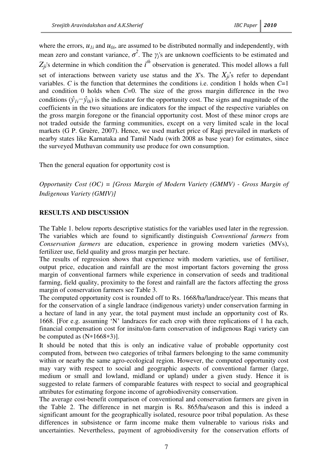where the errors,  $u_{1i}$  and  $u_{0i}$ , are assumed to be distributed normally and independently, with mean zero and constant variance,  $\sigma^2$ . The  $\gamma_j$ 's are unknown coefficients to be estimated and  $Z_{ji}$ 's determine in which condition the *i*<sup>th</sup> observation is generated. This model allows a full set of interactions between variety use status and the *X*'s. The  $X_{ji}$ 's refer to dependant variables. *C* is the function that determines the conditions i.e. condition 1 holds when *C*=1 and condition 0 holds when *C*=0. The size of the gross margin difference in the two conditions  $(\hat{y}_{1i} - \hat{y}_{0i})$  is the indicator for the opportunity cost. The signs and magnitude of the coefficients in the two situations are indicators for the impact of the respective variables on the gross margin foregone or the financial opportunity cost. Most of these minor crops are not traded outside the farming communities, except on a very limited scale in the local markets (G P. Gruère, 2007). Hence, we used market price of Ragi prevailed in markets of nearby states like Karnataka and Tamil Nadu (with 2008 as base year) for estimates, since the surveyed Muthuvan community use produce for own consumption.

Then the general equation for opportunity cost is

*Opportunity Cost (OC) = [Gross Margin of Modern Variety (GMMV) - Gross Margin of Indigenous Variety (GMIV)]* 

### **RESULTS AND DISCUSSION**

The Table 1. below reports descriptive statistics for the variables used later in the regression. The variables which are found to significantly distinguish *Conventional farmers* from *Conservation farmers* are education, experience in growing modern varieties (MVs), fertilizer use, field quality and gross margin per hectare.

The results of regression shows that experience with modern varieties, use of fertiliser, output price, education and rainfall are the most important factors governing the gross margin of conventional farmers while experience in conservation of seeds and traditional farming, field quality, proximity to the forest and rainfall are the factors affecting the gross margin of conservation farmers see Table 3.

The computed opportunity cost is rounded off to Rs. 1668/ha/landrace/year. This means that for the conservation of a single landrace (indigenous variety) under conservation farming in a hectare of land in any year, the total payment must include an opportunity cost of Rs. 1668. [For e.g. assuming 'N' landraces for each crop with three replications of 1 ha each, financial compensation cost for insitu/on-farm conservation of indigenous Ragi variety can be computed as  $(N*1668*3)$ ].

It should be noted that this is only an indicative value of probable opportunity cost computed from, between two categories of tribal farmers belonging to the same community within or nearby the same agro-ecological region. However, the computed opportunity cost may vary with respect to social and geographic aspects of conventional farmer (large, medium or small and lowland, midland or upland) under a given study. Hence it is suggested to relate farmers of comparable features with respect to social and geographical attributes for estimating forgone income of agrobiodiversity conservation.

The average cost-benefit comparison of conventional and conservation farmers are given in the Table 2. The difference in net margin is Rs. 865/ha/season and this is indeed a significant amount for the geographically isolated, resource poor tribal population. As these differences in subsistence or farm income make them vulnerable to various risks and uncertainties. Nevertheless, payment of agrobiodiversity for the conservation efforts of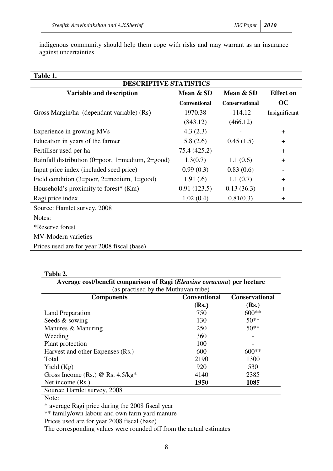indigenous community should help them cope with risks and may warrant as an insurance against uncertainties.

| Table 1.                                          |              |                       |                  |  |  |  |
|---------------------------------------------------|--------------|-----------------------|------------------|--|--|--|
| <b>DESCRIPTIVE STATISTICS</b>                     |              |                       |                  |  |  |  |
| Variable and description                          | Mean & SD    | Mean & SD             | <b>Effect on</b> |  |  |  |
|                                                   | Conventional | <b>Conservational</b> | OC               |  |  |  |
| Gross Margin/ha (dependant variable) (Rs)         | 1970.38      | $-114.12$             | Insignificant    |  |  |  |
|                                                   | (843.12)     | (466.12)              |                  |  |  |  |
| Experience in growing MVs                         | 4.3(2.3)     |                       | $+$              |  |  |  |
| Education in years of the farmer                  | 5.8(2.6)     | 0.45(1.5)             | $+$              |  |  |  |
| Fertiliser used per ha                            | 75.4 (425.2) |                       | $+$              |  |  |  |
| Rainfall distribution (0=poor, 1=medium, 2=good)  | 1.3(0.7)     | 1.1(0.6)              | $+$              |  |  |  |
| Input price index (included seed price)           | 0.99(0.3)    | 0.83(0.6)             |                  |  |  |  |
| Field condition $(3=poor, 2=medium, 1=good)$      | 1.91(0.6)    | 1.1(0.7)              | $\pm$            |  |  |  |
| Household's proximity to forest <sup>*</sup> (Km) | 0.91(123.5)  | 0.13(36.3)            | $+$              |  |  |  |
| Ragi price index                                  | 1.02(0.4)    | 0.81(0.3)             | $\pm$            |  |  |  |
| Source: Hamlet survey, 2008                       |              |                       |                  |  |  |  |
| Notes:                                            |              |                       |                  |  |  |  |
| <i>*</i> Reserve forest                           |              |                       |                  |  |  |  |
| MV-Modern varieties                               |              |                       |                  |  |  |  |
| Prices used are for year 2008 fiscal (base)       |              |                       |                  |  |  |  |

| Average cost/benefit comparison of Ragi (Eleusine coracana) per hectare<br>(as practised by the Muthuvan tribe) |                              |                                |  |  |
|-----------------------------------------------------------------------------------------------------------------|------------------------------|--------------------------------|--|--|
| <b>Components</b>                                                                                               | <b>Conventional</b><br>(Rs.) | <b>Conservational</b><br>(Rs.) |  |  |
| Land Preparation                                                                                                | 750                          | $600**$                        |  |  |
| Seeds & sowing                                                                                                  | 130                          | $50**$                         |  |  |
| Manures & Manuring                                                                                              | 250                          | $50**$                         |  |  |
| Weeding                                                                                                         | 360                          |                                |  |  |
| Plant protection                                                                                                | 100                          |                                |  |  |
| Harvest and other Expenses (Rs.)                                                                                | 600                          | $600**$                        |  |  |
| Total                                                                                                           | 2190                         | 1300                           |  |  |
| Yield $(Kg)$                                                                                                    | 920                          | 530                            |  |  |
| Gross Income (Rs.) @ Rs. $4.5/kg*$                                                                              | 4140                         | 2385                           |  |  |
| Net income (Rs.)                                                                                                | 1950                         | 1085                           |  |  |
| Source: Hamlet survey, 2008                                                                                     |                              |                                |  |  |
| $N_{\alpha+\alpha}$                                                                                             |                              |                                |  |  |

Note:

\* average Ragi price during the 2008 fiscal year

\*\* family/own labour and own farm yard manure

Prices used are for year 2008 fiscal (base)

The corresponding values were rounded off from the actual estimates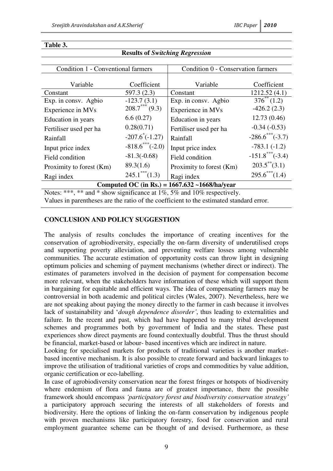| <b>Condition 1 - Conventional farmers</b>                                               |                         | Condition 0 - Conservation farmers |                                  |  |  |
|-----------------------------------------------------------------------------------------|-------------------------|------------------------------------|----------------------------------|--|--|
|                                                                                         |                         |                                    |                                  |  |  |
| Variable                                                                                | Coefficient             | Variable                           | Coefficient                      |  |  |
| Constant                                                                                | 597.3(2.3)              | Constant                           | 1212.52(4.1)                     |  |  |
| Exp. in consv. Agbio                                                                    | $-123.7(3.1)$           | Exp. in consv. Agbio               | $376^{**}(1.2)$                  |  |  |
| Experience in MVs                                                                       | $208.7***$ (9.3)        | Experience in MVs                  | $-426.2(2.3)$                    |  |  |
| Education in years                                                                      | 6.6(0.27)               | Education in years                 | 12.73 (0.46)                     |  |  |
| Fertiliser used per ha                                                                  | 0.28(0.71)              | Fertiliser used per ha             | $-0.34(-0.53)$                   |  |  |
| Rainfall                                                                                | $-207.6^{\circ}(-1.27)$ | Rainfall                           | $-286.6$ <sup>***</sup> $(-3.7)$ |  |  |
| Input price index                                                                       | $-818.6$ ***(-2.0)      | Input price index                  | $-783.1(-1.2)$                   |  |  |
| Field condition                                                                         | $-81.3(-0.68)$          | Field condition                    | $-151.8$ ***(-3.4)               |  |  |
| Proximity to forest (Km)                                                                | 89.3(1.6)               | Proximity to forest (Km)           | $203.5$ <sup>**</sup> $(3.1)$    |  |  |
| Ragi index                                                                              | $245.1$ *** $(1.3)$     | Ragi index                         | $295.6$ *** $(1.4)$              |  |  |
| Computed OC (in Rs.) = $1667.632 - 1668/ha/year$                                        |                         |                                    |                                  |  |  |
| Notes: ***, ** and * show significance at 1%, 5% and 10% respectively.                  |                         |                                    |                                  |  |  |
| Values in parentheses are the ratio of the coefficient to the estimated standard error. |                         |                                    |                                  |  |  |

**Results of** *Switching Regression*

#### **Table 3.**

### **CONCLUSION AND POLICY SUGGESTION**

The analysis of results concludes the importance of creating incentives for the conservation of agrobiodiversity, especially the on-farm diversity of underutilised crops and supporting poverty alleviation, and preventing welfare losses among vulnerable communities. The accurate estimation of opportunity costs can throw light in designing optimum policies and scheming of payment mechanisms (whether direct or indirect). The estimates of parameters involved in the decision of payment for compensation become more relevant, when the stakeholders have information of these which will support them in bargaining for equitable and efficient ways. The idea of compensating farmers may be controversial in both academic and political circles (Wales, 2007). Nevertheless, here we are not speaking about paying the money directly to the farmer in cash because it involves lack of sustainability and '*dough dependence disorder"*, thus leading to externalities and failure. In the recent and past, which had have happened to many tribal development schemes and programmes both by government of India and the states. These past experiences show direct payments are found contextually doubtful. Thus the thrust should be financial, market-based or labour- based incentives which are indirect in nature.

Looking for specialised markets for products of traditional varieties is another marketbased incentive mechanism. It is also possible to create forward and backward linkages to improve the utilisation of traditional varieties of crops and commodities by value addition, organic certification or eco-labelling.

In case of agrobiodiversity conservation near the forest fringes or hotspots of biodiversity where endemism of flora and fauna are of greatest importance, there the possible framework should encompass *"participatory forest and biodiversity conservation strategy"* a participatory approach securing the interests of all stakeholders of forests and biodiversity. Here the options of linking the on-farm conservation by indigenous people with proven mechanisms like participatory forestry, food for conservation and rural employment guarantee scheme can be thought of and devised. Furthermore, as these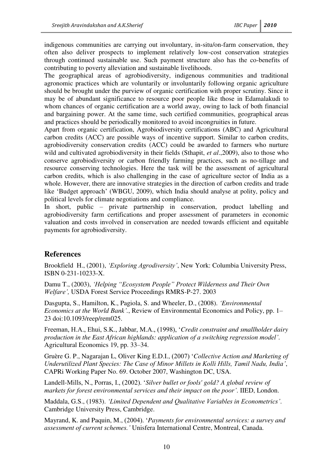indigenous communities are carrying out involuntary, in-situ/on-farm conservation, they often also deliver prospects to implement relatively low-cost conservation strategies through continued sustainable use. Such payment structure also has the co-benefits of contributing to poverty alleviation and sustainable livelihoods.

The geographical areas of agrobiodiversity, indigenous communities and traditional agronomic practices which are voluntarily or involuntarily following organic agriculture should be brought under the purview of organic certification with proper scrutiny. Since it may be of abundant significance to resource poor people like those in Edamalakudi to whom chances of organic certification are a world away, owing to lack of both financial and bargaining power. At the same time, such certified communities, geographical areas and practices should be periodically monitored to avoid incongruities in future.

Apart from organic certification, Agrobiodiversity certifications (ABC) and Agricultural carbon credits (ACC) are possible ways of incentive support. Similar to carbon credits, agrobiodiversity conservation credits (ACC) could be awarded to farmers who nurture wild and cultivated agrobiodiversity in their fields (Sthapit, *et al*.,2009), also to those who conserve agrobiodiversity or carbon friendly farming practices, such as no-tillage and resource conserving technologies. Here the task will be the assessment of agricultural carbon credits, which is also challenging in the case of agriculture sector of India as a whole. However, there are innovative strategies in the direction of carbon credits and trade like 'Budget approach' (WBGU, 2009), which India should analyse at polity, policy and political levels for climate negotiations and compliance.

In short, public – private partnership in conservation, product labelling and agrobiodiversity farm certifications and proper assessment of parameters in economic valuation and costs involved in conservation are needed towards efficient and equitable payments for agrobiodiversity.

### **References**

Brookfield H., (2001), *"Exploring Agrodiversity"*, New York: Columbia University Press, ISBN 0-231-10233-X.

Damu T., (2003), *"Helping "Ecosystem People" Protect Wilderness and Their Own Welfare",* USDA Forest Service Proceedings RMRS-P-27. 2003

Dasgupta, S., Hamilton, K., Pagiola, S. and Wheeler, D., (2008). *"Environmental Economics at the World Bank".*, Review of Environmental Economics and Policy, pp. 1– 23 doi:10.1093/reep/rem025.

Freeman, H.A., Ehui, S.K., Jabbar, M.A., (1998), '*Credit constraint and smallholder dairy production in the East African highlands: application of a switching regression model"*. Agricultural Economics 19, pp. 33–34.

Gruère G. P., Nagarajan L, Oliver King E.D.I., (2007) '*Collective Action and Marketing of Underutilized Plant Species: The Case of Minor Millets in Kolli Hills, Tamil Nadu, India"*, CAPRi Working Paper No. 69. October 2007, Washington DC, USA.

Landell-Mills, N., Porras, I., (2002). '*Silver bullet or fools' gold? A global review of markets for forest environmental services and their impact on the poor"*. IIED, London.

Maddala, G.S., (1983). *"Limited Dependent and Qualitative Variables in Econometrics"*. Cambridge University Press, Cambridge.

Mayrand, K. and Paquin, M., (2004). '*Payments for environmental services: a survey and assessment of current schemes."* Unisfera International Centre, Montreal, Canada.